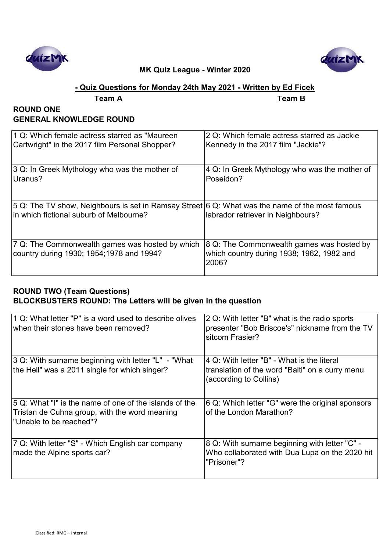



## **- Quiz Questions for Monday 24th May 2021 - Written by Ed Ficek**

**Team A Team B**

#### **ROUND ONE GENERAL KNOWLEDGE ROUND**

| 11 Q: Which female actress starred as "Maureen"                                                                                            | 2 Q: Which female actress starred as Jackie                                                     |
|--------------------------------------------------------------------------------------------------------------------------------------------|-------------------------------------------------------------------------------------------------|
| Cartwright" in the 2017 film Personal Shopper?                                                                                             | Kennedy in the 2017 film "Jackie"?                                                              |
| 3 Q: In Greek Mythology who was the mother of                                                                                              | $ 4 Q$ : In Greek Mythology who was the mother of                                               |
| Uranus?                                                                                                                                    | Poseidon?                                                                                       |
| [5 Q: The TV show, Neighbours is set in Ramsay Street 6 Q: What was the name of the most famous<br>in which fictional suburb of Melbourne? | labrador retriever in Neighbours?                                                               |
| 7 Q: The Commonwealth games was hosted by which<br>country during 1930; 1954;1978 and 1994?                                                | 8 Q: The Commonwealth games was hosted by<br>which country during 1938; 1962, 1982 and<br>2006? |

#### **ROUND TWO (Team Questions) BLOCKBUSTERS ROUND: The Letters will be given in the question**

| 1 Q: What letter "P" is a word used to describe olives<br>when their stones have been removed?          | 2 Q: With letter "B" what is the radio sports<br>presenter "Bob Briscoe's" nickname from the TV<br>sitcom Frasier? |
|---------------------------------------------------------------------------------------------------------|--------------------------------------------------------------------------------------------------------------------|
| 3 Q: With surname beginning with letter "L" - "What                                                     | 4 Q: With letter "B" - What is the literal                                                                         |
| the Hell" was a 2011 single for which singer?                                                           | translation of the word "Balti" on a curry menu<br>(according to Collins)                                          |
| 5 Q: What "I" is the name of one of the islands of the<br>Tristan de Cuhna group, with the word meaning | 6 Q: Which letter "G" were the original sponsors<br>of the London Marathon?                                        |
| "Unable to be reached"?                                                                                 |                                                                                                                    |
| 7 Q: With letter "S" - Which English car company                                                        | 8 Q: With surname beginning with letter "C" -                                                                      |
| made the Alpine sports car?                                                                             | Who collaborated with Dua Lupa on the 2020 hit<br>"Prisoner"?                                                      |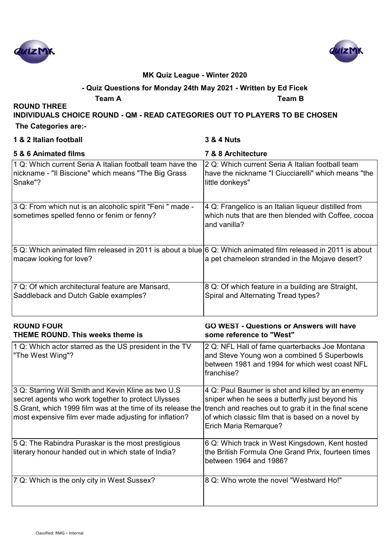



## **- Quiz Questions for Monday 24th May 2021 - Written by Ed Ficek**

**Team A Team B**

**INDIVIDUALS CHOICE ROUND - QM - READ CATEGORIES OUT TO PLAYERS TO BE CHOSEN**

 **The Categories are:-**

**ROUND THREE** 

| 1 & 2 Italian football                                                                                                                  | <b>3 &amp; 4 Nuts</b>                                                                                                                                                                 |
|-----------------------------------------------------------------------------------------------------------------------------------------|---------------------------------------------------------------------------------------------------------------------------------------------------------------------------------------|
| 5 & 6 Animated films                                                                                                                    | 7 & 8 Architecture                                                                                                                                                                    |
| 1 Q: Which current Seria A Italian football team have the<br>nickname - "Il Biscione" which means "The Big Grass<br>Snake"?             | 2 Q: Which current Seria A Italian football team<br>have the nickname "I Ciucciarelli" which means "the<br>little donkeys"                                                            |
| 3 Q: From which nut is an alcoholic spirit "Feni " made -<br>sometimes spelled fenno or fenim or fenny?                                 | 4 Q: Frangelico is an Italian liqueur distilled from<br>which nuts that are then blended with Coffee, cocoa<br>and vanilla?                                                           |
| 5 Q: Which animated film released in 2011 is about a blue 6 Q: Which animated film released in 2011 is about<br>macaw looking for love? | a pet chameleon stranded in the Mojave desert?                                                                                                                                        |
| 7 Q: Of which architectural feature are Mansard,<br>Saddleback and Dutch Gable examples?                                                | 8 Q: Of which feature in a building are Straight,<br>Spiral and Alternating Tread types?                                                                                              |
| <b>ROUND FOUR</b><br><b>THEME ROUND. This weeks theme is</b>                                                                            | <b>GO WEST - Questions or Answers will have</b><br>some reference to "West"                                                                                                           |
| 1 Q: Which actor starred as the US president in the TV<br>"The West Wing"?                                                              | 2 Q: NFL Hall of fame quarterbacks Joe Montana<br>and Steve Young won a combined 5 Superbowls<br>between 1981 and 1994 for which west coast NFL<br>franchise?                         |
| 3 Q: Starring Will Smith and Kevin Kline as two U.S<br>secret agents who work together to protect Ulysses                               | 4 Q: Paul Baumer is shot and killed by an enemy                                                                                                                                       |
| S. Grant, which 1999 film was at the time of its release the<br>most expensive film ever made adjusting for inflation?                  | sniper when he sees a butterfly just beyond his<br>trench and reaches out to grab it in the final scene<br>of which classic film that is based on a novel by<br>Erich Maria Remarque? |
| 5 Q: The Rabindra Puraskar is the most prestigious<br>literary honour handed out in which state of India?                               | 6 Q: Which track in West Kingsdown, Kent hosted<br>the British Formula One Grand Prix, fourteen times<br>between 1964 and 1986?                                                       |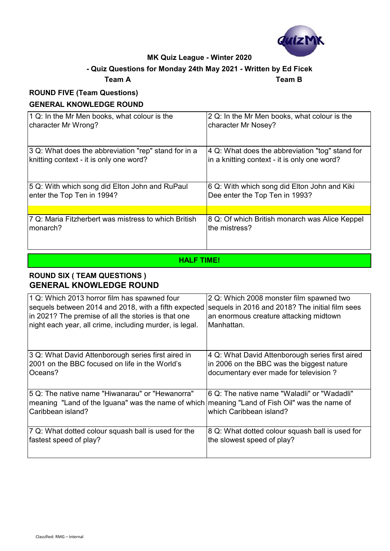

#### **- Quiz Questions for Monday 24th May 2021 - Written by Ed Ficek**

#### **Team A Team B**

## **ROUND FIVE (Team Questions) GENERAL KNOWLEDGE ROUND**

| 1 Q: In the Mr Men books, what colour is the         | 2 Q: In the Mr Men books, what colour is the    |
|------------------------------------------------------|-------------------------------------------------|
| character Mr Wrong?                                  | character Mr Nosey?                             |
| 3 Q: What does the abbreviation "rep" stand for in a | 4 Q: What does the abbreviation "tog" stand for |
| knitting context - it is only one word?              | in a knitting context - it is only one word?    |
| 5 Q: With which song did Elton John and RuPaul       | 6 Q: With which song did Elton John and Kiki    |
| enter the Top Ten in 1994?                           | Dee enter the Top Ten in 1993?                  |
| 7 Q: Maria Fitzherbert was mistress to which British | 8 Q: Of which British monarch was Alice Keppel  |
| monarch?                                             | the mistress?                                   |

#### **HALF TIME!**

#### **ROUND SIX ( TEAM QUESTIONS ) GENERAL KNOWLEDGE ROUND**

| 1 Q: Which 2013 horror film has spawned four                                                                                                                          | 2 Q: Which 2008 monster film spawned two                               |
|-----------------------------------------------------------------------------------------------------------------------------------------------------------------------|------------------------------------------------------------------------|
| sequels between 2014 and 2018, with a fifth expected                                                                                                                  | sequels in 2016 and 2018? The initial film sees                        |
| in 2021? The premise of all the stories is that one                                                                                                                   | an enormous creature attacking midtown                                 |
| night each year, all crime, including murder, is legal.                                                                                                               | Manhattan.                                                             |
| 3 Q: What David Attenborough series first aired in                                                                                                                    | 4 Q: What David Attenborough series first aired                        |
| 2001 on the BBC focused on life in the World's                                                                                                                        | in 2006 on the BBC was the biggest nature                              |
| Oceans?                                                                                                                                                               | documentary ever made for television?                                  |
| 5 Q: The native name "Hiwanarau" or "Hewanorra"<br>meaning "Land of the Iguana" was the name of which meaning "Land of Fish Oil" was the name of<br>Caribbean island? | 6 Q: The native name "Waladli" or "Wadadli"<br>which Caribbean island? |
| 7 Q: What dotted colour squash ball is used for the                                                                                                                   | 8 Q: What dotted colour squash ball is used for                        |
| fastest speed of play?                                                                                                                                                | the slowest speed of play?                                             |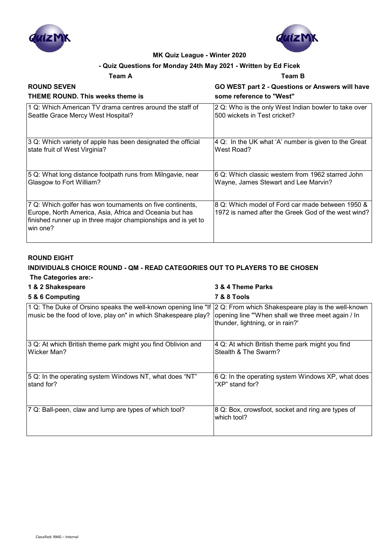



#### **- Quiz Questions for Monday 24th May 2021 - Written by Ed Ficek**

#### **Team A Team B**

| <b>ROUND SEVEN</b>                                                                                                                                                                                 | GO WEST part 2 - Questions or Answers will have                                                         |
|----------------------------------------------------------------------------------------------------------------------------------------------------------------------------------------------------|---------------------------------------------------------------------------------------------------------|
| THEME ROUND. This weeks theme is                                                                                                                                                                   | some reference to "West"                                                                                |
| 1 Q: Which American TV drama centres around the staff of                                                                                                                                           | 2 Q: Who is the only West Indian bowler to take over                                                    |
| Seattle Grace Mercy West Hospital?                                                                                                                                                                 | 500 wickets in Test cricket?                                                                            |
| 3 Q: Which variety of apple has been designated the official                                                                                                                                       | 4 Q: In the UK what 'A' number is given to the Great                                                    |
| state fruit of West Virginia?                                                                                                                                                                      | West Road?                                                                                              |
| 5 Q: What long distance footpath runs from Milngavie, near                                                                                                                                         | 6 Q: Which classic western from 1962 starred John                                                       |
| Glasgow to Fort William?                                                                                                                                                                           | Wayne, James Stewart and Lee Marvin?                                                                    |
| 7 Q: Which golfer has won tournaments on five continents,<br>Europe, North America, Asia, Africa and Oceania but has<br>finished runner up in three major championships and is yet to<br>lwin one? | 8 Q: Which model of Ford car made between 1950 &<br>1972 is named after the Greek God of the west wind? |

#### **ROUND EIGHT**

#### **INDIVIDUALS CHOICE ROUND - QM - READ CATEGORIES OUT TO PLAYERS TO BE CHOSEN The Categories are:-**

## **1 & 2 Shakespeare 3 & 4 Theme Parks**

| 5 & 6 Computing                                                                                                                  | <b>7 &amp; 8 Tools</b>                                                                                                                       |
|----------------------------------------------------------------------------------------------------------------------------------|----------------------------------------------------------------------------------------------------------------------------------------------|
| 1 Q: The Duke of Orsino speaks the well-known opening line "If<br>music be the food of love, play on" in which Shakespeare play? | 2 Q: From which Shakespeare play is the well-known<br>opening line "'When shall we three meet again / In<br>thunder, lightning, or in rain?' |
| 3 Q: At which British theme park might you find Oblivion and<br>Wicker Man?                                                      | 4 Q: At which British theme park might you find<br>Stealth & The Swarm?                                                                      |
| 5 Q: In the operating system Windows NT, what does "NT"<br>stand for?                                                            | 6 Q: In the operating system Windows XP, what does<br>"XP" stand for?                                                                        |
| 7 Q: Ball-peen, claw and lump are types of which tool?                                                                           | 8 Q: Box, crowsfoot, socket and ring are types of<br>which tool?                                                                             |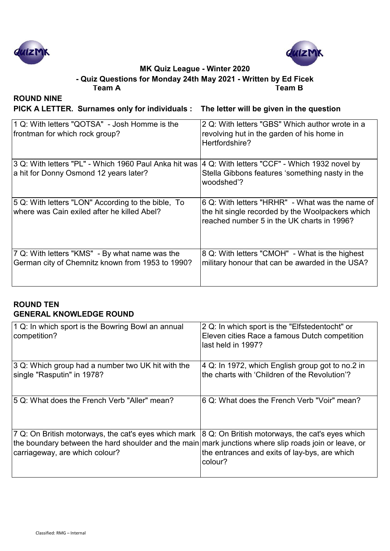



**Team A Team B - Quiz Questions for Monday 24th May 2021 - Written by Ed Ficek**

**ROUND NINE**

**PICK A LETTER. Surnames only for individuals : The letter will be given in the question**

| 1 Q: With letters "QOTSA" - Josh Homme is the<br>frontman for which rock group?                    | 2 Q: With letters "GBS" Which author wrote in a<br>revolving hut in the garden of his home in<br>Hertfordshire?                                   |
|----------------------------------------------------------------------------------------------------|---------------------------------------------------------------------------------------------------------------------------------------------------|
| 3 Q: With letters "PL" - Which 1960 Paul Anka hit was<br>a hit for Donny Osmond 12 years later?    | 4 Q: With letters "CCF" - Which 1932 novel by<br>Stella Gibbons features 'something nasty in the<br>woodshed'?                                    |
| 5 Q: With letters "LON" According to the bible, To<br>where was Cain exiled after he killed Abel?  | 6 Q: With letters "HRHR" - What was the name of<br>the hit single recorded by the Woolpackers which<br>reached number 5 in the UK charts in 1996? |
| 7 Q: With letters "KMS" - By what name was the<br>German city of Chemnitz known from 1953 to 1990? | 8 Q: With letters "CMOH" - What is the highest<br>military honour that can be awarded in the USA?                                                 |

#### **ROUND TEN GENERAL KNOWLEDGE ROUND**

| 1 Q: In which sport is the Bowring Bowl an annual<br>competition?                                                                                                                                                                                  | 2 Q: In which sport is the "Elfstedentocht" or<br>Eleven cities Race a famous Dutch competition<br>last held in 1997? |
|----------------------------------------------------------------------------------------------------------------------------------------------------------------------------------------------------------------------------------------------------|-----------------------------------------------------------------------------------------------------------------------|
| 3 Q: Which group had a number two UK hit with the<br>single "Rasputin" in 1978?                                                                                                                                                                    | 4 Q: In 1972, which English group got to no.2 in<br>the charts with 'Children of the Revolution'?                     |
| 15 Q: What does the French Verb "Aller" mean?                                                                                                                                                                                                      | I6 Q: What does the French Verb "Voir" mean?                                                                          |
| 7 Q: On British motorways, the cat's eyes which mark $ 8$ Q: On British motorways, the cat's eyes which<br>the boundary between the hard shoulder and the main mark junctions where slip roads join or leave, or<br>carriageway, are which colour? | the entrances and exits of lay-bys, are which<br>colour?                                                              |